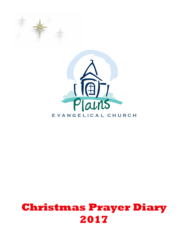



## **Christmas Prayer Diary 2017**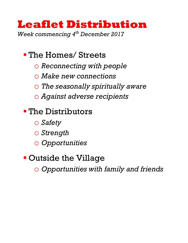### **Leaflet Distribution** *Week commencing 4th December 2017*

• The Homes/ Streets

- o *Reconnecting with people*
- o *Make new connections*
- o *The seasonally spiritually aware*
- o *Against adverse recipients*

### § The Distributors

- o *Safety*
- o *Strength*
- o *Opportunities*

### § Outside the Village

o *Opportunities with family and friends*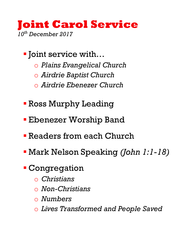### **Joint Carol Service** *10th December 2017*

- Joint service with...
	- o *Plains Evangelical Church*
	- o *Airdrie Baptist Church*
	- o *Airdrie Ebenezer Church*
- § Ross Murphy Leading
- **Ebenezer Worship Band**
- § Readers from each Church
- § Mark Nelson Speaking *(John 1:1-18)*
- § Congregation
	- o *Christians*
	- o *Non-Christians*
	- o *Numbers*
	- o *Lives Transformed and People Saved*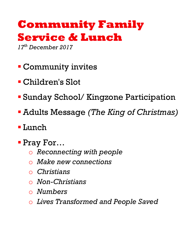## **Community Family Service & Lunch**

*17th December 2017*

- § Community invites
- § Children's Slot
- § Sunday School/ Kingzone Participation
- § Adults Message *(The King of Christmas)*
- § Lunch
- § Pray For…
	- o *Reconnecting with people*
	- o *Make new connections*
	- o *Christians*
	- o *Non-Christians*
	- o *Numbers*
	- o *Lives Transformed and People Saved*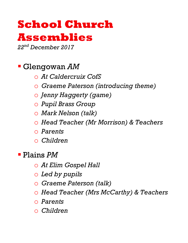# **School Church**

### **Assemblies**

*22nd December 2017*

### § Glengowan *AM*

- o *At Caldercruix CofS*
- o *Graeme Paterson (introducing theme)*
- o *Jenny Haggerty (game)*
- o *Pupil Brass Group*
- o *Mark Nelson (talk)*
- o *Head Teacher (Mr Morrison) & Teachers*
- o *Parents*
- o *Children*

§ Plains *PM*

- o *At Elim Gospel Hall*
- o *Led by pupils*
- o *Graeme Paterson (talk)*
- o *Head Teacher (Mrs McCarthy) & Teachers*
- o *Parents*
- o *Children*